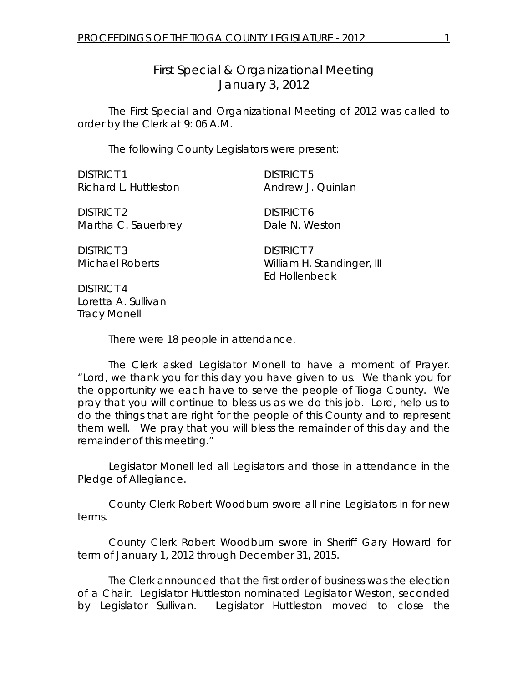*First Special & Organizational Meeting*  January 3, 2012

 The First Special and Organizational Meeting of 2012 was called to order by the Clerk at 9: 06 A.M.

The following County Legislators were present:

| <b>DISTRICT 1</b>                           | <b>DISTRICT 5</b>                                                |
|---------------------------------------------|------------------------------------------------------------------|
| Richard L. Huttleston                       | Andrew J. Quinlan                                                |
| <b>DISTRICT 2</b>                           | <b>DISTRICT 6</b>                                                |
| Martha C. Sauerbrey                         | Dale N. Weston                                                   |
| <b>DISTRICT 3</b><br><b>Michael Roberts</b> | <b>DISTRICT 7</b><br>William H. Standinger, III<br>Ed Hollenbeck |
| <b>DISTRICT 4</b>                           |                                                                  |

DISTRICT 4 Loretta A. Sullivan Tracy Monell

There were 18 people in attendance.

 The Clerk asked Legislator Monell to have a moment of Prayer. "Lord, we thank you for this day you have given to us. We thank you for the opportunity we each have to serve the people of Tioga County. We pray that you will continue to bless us as we do this job. Lord, help us to do the things that are right for the people of this County and to represent them well. We pray that you will bless the remainder of this day and the remainder of this meeting."

 Legislator Monell led all Legislators and those in attendance in the Pledge of Allegiance.

 County Clerk Robert Woodburn swore all nine Legislators in for new terms.

 County Clerk Robert Woodburn swore in Sheriff Gary Howard for term of January 1, 2012 through December 31, 2015.

 The Clerk announced that the first order of business was the election of a Chair. Legislator Huttleston nominated Legislator Weston, seconded by Legislator Sullivan. Legislator Huttleston moved to close the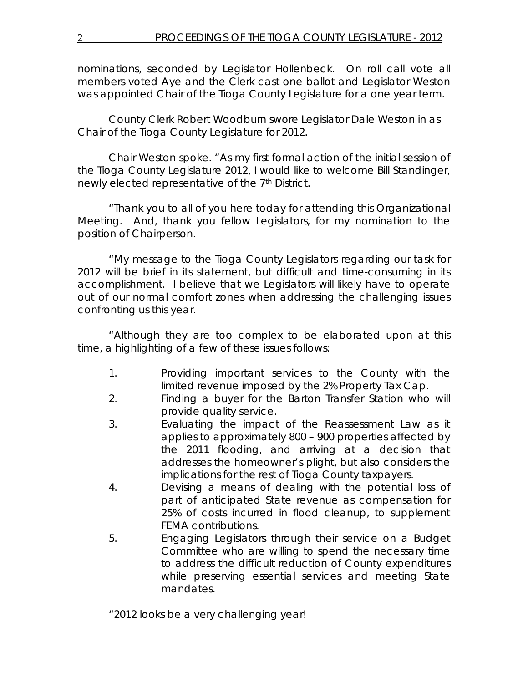nominations, seconded by Legislator Hollenbeck. On roll call vote all members voted Aye and the Clerk cast one ballot and Legislator Weston was appointed Chair of the Tioga County Legislature for a one year term.

County Clerk Robert Woodburn swore Legislator Dale Weston in as Chair of the Tioga County Legislature for 2012.

Chair Weston spoke. "As my first formal action of the initial session of the Tioga County Legislature 2012, I would like to welcome Bill Standinger, newly elected representative of the 7<sup>th</sup> District.

"Thank you to all of you here today for attending this Organizational Meeting. And, thank you fellow Legislators, for my nomination to the position of Chairperson.

"My message to the Tioga County Legislators regarding our task for 2012 will be brief in its statement, but difficult and time-consuming in its accomplishment. I believe that we Legislators will likely have to operate out of our normal comfort zones when addressing the challenging issues confronting us this year.

"Although they are too complex to be elaborated upon at this time, a highlighting of a few of these issues follows:

- 1. Providing important services to the County with the limited revenue imposed by the 2% Property Tax Cap.
- 2. Finding a buyer for the Barton Transfer Station who will provide quality service.
- 3. Evaluating the impact of the Reassessment Law as it applies to approximately 800 – 900 properties affected by the 2011 flooding, and arriving at a decision that addresses the homeowner's plight, but also considers the implications for the rest of Tioga County taxpayers.
- 4. Devising a means of dealing with the potential loss of part of anticipated State revenue as compensation for 25% of costs incurred in flood cleanup, to supplement FEMA contributions.
- 5. Engaging Legislators through their service on a Budget Committee who are willing to spend the necessary time to address the difficult reduction of County expenditures while preserving essential services and meeting State mandates.

"2012 looks be a very challenging year!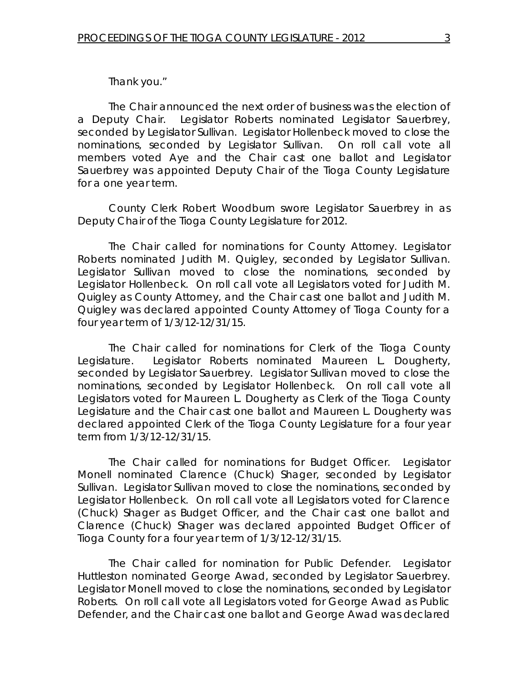Thank you."

The Chair announced the next order of business was the election of a Deputy Chair. Legislator Roberts nominated Legislator Sauerbrey, seconded by Legislator Sullivan. Legislator Hollenbeck moved to close the nominations, seconded by Legislator Sullivan. On roll call vote all members voted Aye and the Chair cast one ballot and Legislator Sauerbrey was appointed Deputy Chair of the Tioga County Legislature for a one year term.

County Clerk Robert Woodburn swore Legislator Sauerbrey in as Deputy Chair of the Tioga County Legislature for 2012.

 The Chair called for nominations for County Attorney. Legislator Roberts nominated Judith M. Quigley, seconded by Legislator Sullivan. Legislator Sullivan moved to close the nominations, seconded by Legislator Hollenbeck. On roll call vote all Legislators voted for Judith M. Quigley as County Attorney, and the Chair cast one ballot and Judith M. Quigley was declared appointed County Attorney of Tioga County for a four year term of 1/3/12-12/31/15.

The Chair called for nominations for Clerk of the Tioga County Legislature. Legislator Roberts nominated Maureen L. Dougherty, seconded by Legislator Sauerbrey. Legislator Sullivan moved to close the nominations, seconded by Legislator Hollenbeck. On roll call vote all Legislators voted for Maureen L. Dougherty as Clerk of the Tioga County Legislature and the Chair cast one ballot and Maureen L. Dougherty was declared appointed Clerk of the Tioga County Legislature for a four year term from 1/3/12-12/31/15.

 The Chair called for nominations for Budget Officer. Legislator Monell nominated Clarence (Chuck) Shager, seconded by Legislator Sullivan. Legislator Sullivan moved to close the nominations, seconded by Legislator Hollenbeck. On roll call vote all Legislators voted for Clarence (Chuck) Shager as Budget Officer, and the Chair cast one ballot and Clarence (Chuck) Shager was declared appointed Budget Officer of Tioga County for a four year term of 1/3/12-12/31/15.

 The Chair called for nomination for Public Defender. Legislator Huttleston nominated George Awad, seconded by Legislator Sauerbrey. Legislator Monell moved to close the nominations, seconded by Legislator Roberts. On roll call vote all Legislators voted for George Awad as Public Defender, and the Chair cast one ballot and George Awad was declared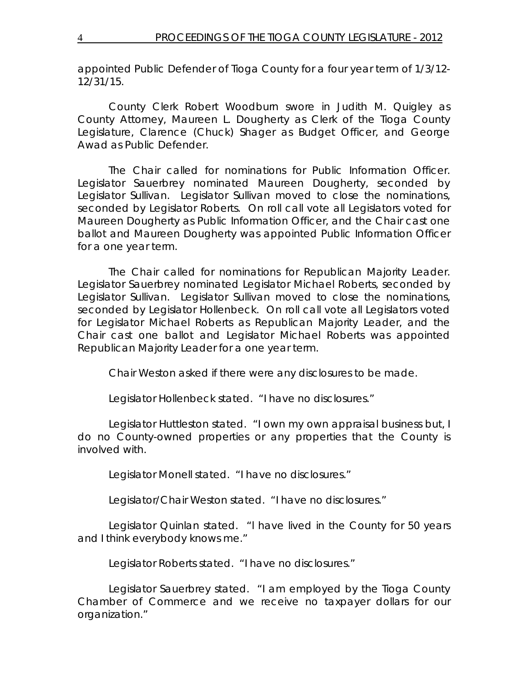appointed Public Defender of Tioga County for a four year term of 1/3/12- 12/31/15.

 County Clerk Robert Woodburn swore in Judith M. Quigley as County Attorney, Maureen L. Dougherty as Clerk of the Tioga County Legislature, Clarence (Chuck) Shager as Budget Officer, and George Awad as Public Defender.

 The Chair called for nominations for Public Information Officer. Legislator Sauerbrey nominated Maureen Dougherty, seconded by Legislator Sullivan. Legislator Sullivan moved to close the nominations, seconded by Legislator Roberts. On roll call vote all Legislators voted for Maureen Dougherty as Public Information Officer, and the Chair cast one ballot and Maureen Dougherty was appointed Public Information Officer for a one year term.

 The Chair called for nominations for Republican Majority Leader. Legislator Sauerbrey nominated Legislator Michael Roberts, seconded by Legislator Sullivan. Legislator Sullivan moved to close the nominations, seconded by Legislator Hollenbeck. On roll call vote all Legislators voted for Legislator Michael Roberts as Republican Majority Leader, and the Chair cast one ballot and Legislator Michael Roberts was appointed Republican Majority Leader for a one year term.

Chair Weston asked if there were any disclosures to be made.

Legislator Hollenbeck stated. "I have no disclosures."

 Legislator Huttleston stated. "I own my own appraisal business but, I do no County-owned properties or any properties that the County is involved with.

Legislator Monell stated. "I have no disclosures."

Legislator/Chair Weston stated. "I have no disclosures."

 Legislator Quinlan stated. "l have lived in the County for 50 years and I think everybody knows me."

Legislator Roberts stated. "I have no disclosures."

 Legislator Sauerbrey stated. "I am employed by the Tioga County Chamber of Commerce and we receive no taxpayer dollars for our organization."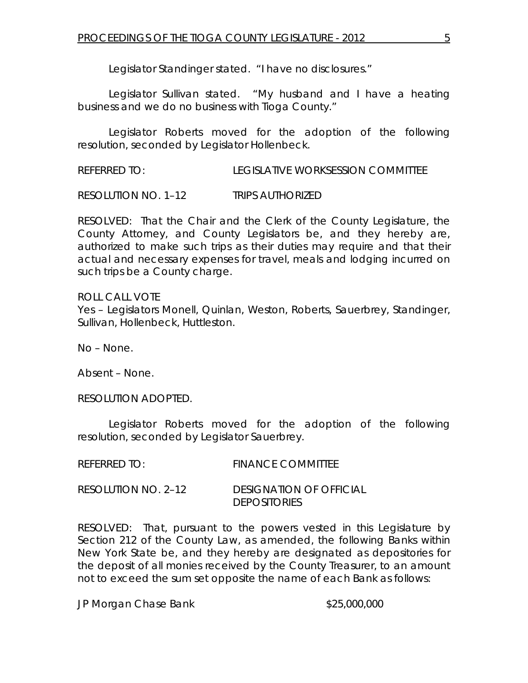Legislator Standinger stated. "I have no disclosures."

 Legislator Sullivan stated. "My husband and I have a heating business and we do no business with Tioga County."

 Legislator Roberts moved for the adoption of the following resolution, seconded by Legislator Hollenbeck.

REFERRED TO: LEGISLATIVE WORKSESSION COMMITTEE

RESOLUTION NO. 1–12 *TRIPS AUTHORIZED*

RESOLVED: That the Chair and the Clerk of the County Legislature, the County Attorney, and County Legislators be, and they hereby are, authorized to make such trips as their duties may require and that their actual and necessary expenses for travel, meals and lodging incurred on such trips be a County charge.

ROLL CALL VOTE Yes – Legislators Monell, Quinlan, Weston, Roberts, Sauerbrey, Standinger, Sullivan, Hollenbeck, Huttleston.

No – None.

Absent – None.

RESOLUTION ADOPTED.

Legislator Roberts moved for the adoption of the following resolution, seconded by Legislator Sauerbrey.

| REFERRED TO:        | <b>FINANCE COMMITTEE</b> |
|---------------------|--------------------------|
| RESOLUTION NO. 2–12 | DESIGNATION OF OFFICIAL  |
|                     | <i>DEPOSITORIES</i>      |

RESOLVED: That, pursuant to the powers vested in this Legislature by Section 212 of the County Law, as amended, the following Banks within New York State be, and they hereby are designated as depositories for the deposit of all monies received by the County Treasurer, to an amount not to exceed the sum set opposite the name of each Bank as follows:

JP Morgan Chase Bank  $$25,000,000$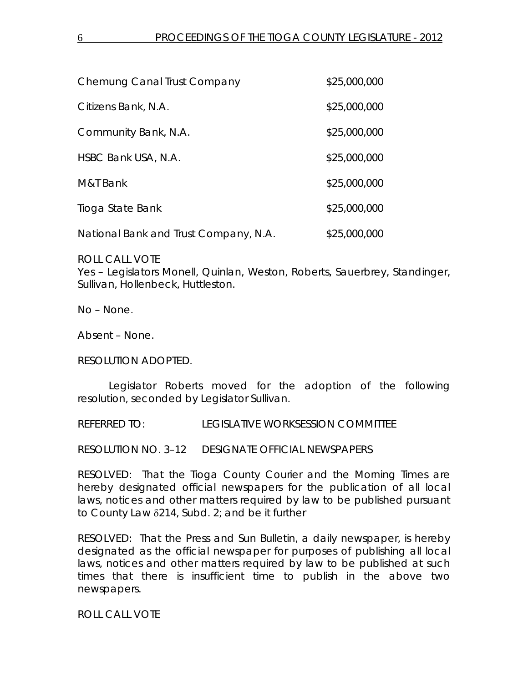| Chemung Canal Trust Company           | \$25,000,000 |
|---------------------------------------|--------------|
| Citizens Bank, N.A.                   | \$25,000,000 |
| Community Bank, N.A.                  | \$25,000,000 |
| HSBC Bank USA, N.A.                   | \$25,000,000 |
| M&T Bank                              | \$25,000,000 |
| Tioga State Bank                      | \$25,000,000 |
| National Bank and Trust Company, N.A. | \$25,000,000 |

ROLL CALL VOTE

Yes – Legislators Monell, Quinlan, Weston, Roberts, Sauerbrey, Standinger, Sullivan, Hollenbeck, Huttleston.

No – None.

Absent – None.

RESOLUTION ADOPTED.

Legislator Roberts moved for the adoption of the following resolution, seconded by Legislator Sullivan.

REFERRED TO: LEGISLATIVE WORKSESSION COMMITTEE

RESOLUTION NO. 3–12 *DESIGNATE OFFICIAL NEWSPAPERS* 

RESOLVED: That the Tioga County Courier and the Morning Times are hereby designated official newspapers for the publication of all local laws, notices and other matters required by law to be published pursuant to County Law δ214, Subd. 2; and be it further

RESOLVED: That the Press and Sun Bulletin, a daily newspaper, is hereby designated as the official newspaper for purposes of publishing all local laws, notices and other matters required by law to be published at such times that there is insufficient time to publish in the above two newspapers.

ROLL CALL VOTE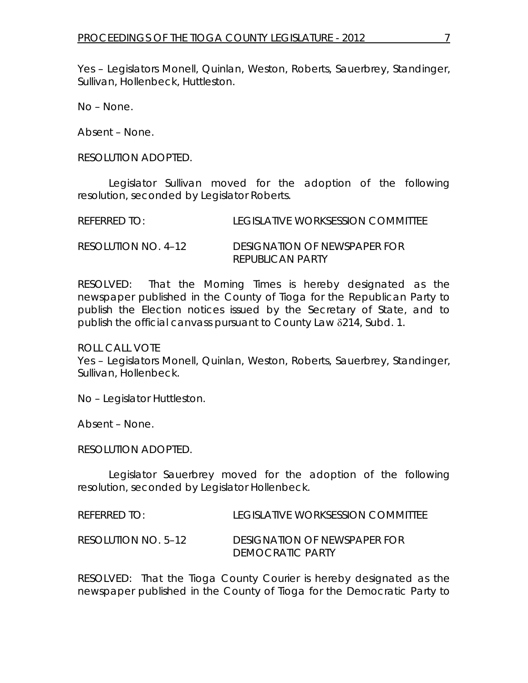Yes – Legislators Monell, Quinlan, Weston, Roberts, Sauerbrey, Standinger, Sullivan, Hollenbeck, Huttleston.

No – None.

Absent – None.

RESOLUTION ADOPTED.

Legislator Sullivan moved for the adoption of the following resolution, seconded by Legislator Roberts.

| <b>REFERRED TO:</b> | LEGISLATIVE WORKSESSION COMMITTEE |
|---------------------|-----------------------------------|
|                     |                                   |

| RESOLUTION NO. 4-12 | DESIGNATION OF NEWSPAPER FOR |
|---------------------|------------------------------|
|                     | <b>REPUBLICAN PARTY</b>      |

RESOLVED: That the Morning Times is hereby designated as the newspaper published in the County of Tioga for the Republican Party to publish the Election notices issued by the Secretary of State, and to publish the official canvass pursuant to County Law δ214, Subd. 1.

ROLL CALL VOTE

Yes – Legislators Monell, Quinlan, Weston, Roberts, Sauerbrey, Standinger, Sullivan, Hollenbeck.

No – Legislator Huttleston.

Absent – None.

RESOLUTION ADOPTED.

Legislator Sauerbrey moved for the adoption of the following resolution, seconded by Legislator Hollenbeck.

REFERRED TO: LEGISLATIVE WORKSESSION COMMITTEE

RESOLUTION NO. 5–12 *DESIGNATION OF NEWSPAPER FOR DEMOCRATIC PARTY* 

RESOLVED: That the Tioga County Courier is hereby designated as the newspaper published in the County of Tioga for the Democratic Party to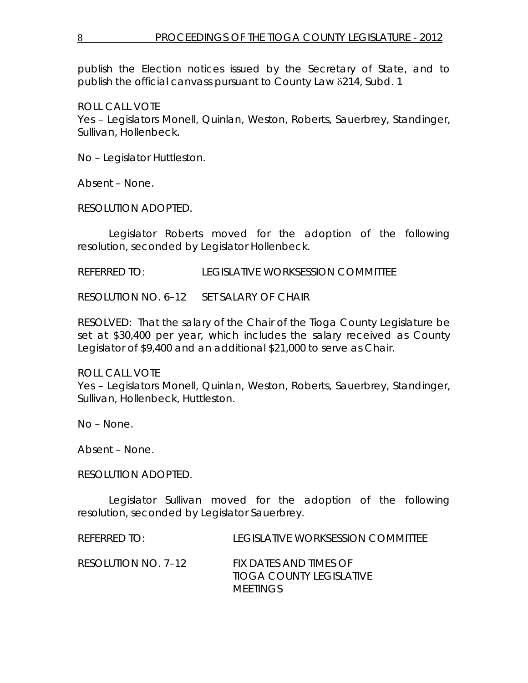publish the Election notices issued by the Secretary of State, and to publish the official canvass pursuant to County Law δ214, Subd. 1

ROLL CALL VOTE

Yes – Legislators Monell, Quinlan, Weston, Roberts, Sauerbrey, Standinger, Sullivan, Hollenbeck.

No – Legislator Huttleston.

Absent – None.

RESOLUTION ADOPTED.

Legislator Roberts moved for the adoption of the following resolution, seconded by Legislator Hollenbeck.

REFERRED TO: LEGISLATIVE WORKSESSION COMMITTEE

RESOLUTION NO. 6–12 *SET SALARY OF CHAIR*

RESOLVED: That the salary of the Chair of the Tioga County Legislature be set at \$30,400 per year, which includes the salary received as County Legislator of \$9,400 and an additional \$21,000 to serve as Chair.

ROLL CALL VOTE Yes – Legislators Monell, Quinlan, Weston, Roberts, Sauerbrey, Standinger, Sullivan, Hollenbeck, Huttleston.

No – None.

Absent – None.

RESOLUTION ADOPTED.

Legislator Sullivan moved for the adoption of the following resolution, seconded by Legislator Sauerbrey.

REFERRED TO: LEGISLATIVE WORKSESSION COMMITTEE

RESOLUTION NO. 7–12 *FIX DATES AND TIMES OF TIOGA COUNTY LEGISLATIVE MEETINGS*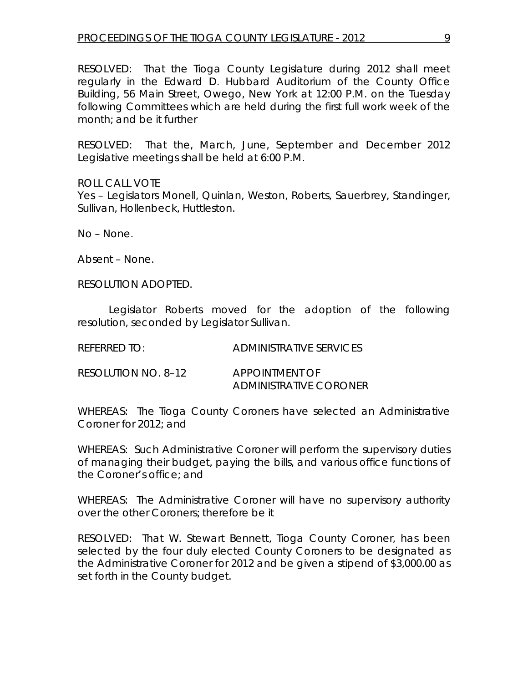RESOLVED: That the Tioga County Legislature during 2012 shall meet regularly in the Edward D. Hubbard Auditorium of the County Office Building, 56 Main Street, Owego, New York at 12:00 P.M. on the Tuesday following Committees which are held during the first full work week of the month; and be it further

RESOLVED: That the, March, June, September and December 2012 Legislative meetings shall be held at 6:00 P.M.

ROLL CALL VOTE Yes – Legislators Monell, Quinlan, Weston, Roberts, Sauerbrey, Standinger, Sullivan, Hollenbeck, Huttleston.

No – None.

Absent – None.

RESOLUTION ADOPTED.

Legislator Roberts moved for the adoption of the following resolution, seconded by Legislator Sullivan.

| ADMINISTRATIVE SERVICES                                |
|--------------------------------------------------------|
| <i>APPOINTMENT OF</i><br><i>ADMINISTRATIVE CORONER</i> |
|                                                        |

WHEREAS: The Tioga County Coroners have selected an Administrative Coroner for 2012; and

WHEREAS: Such Administrative Coroner will perform the supervisory duties of managing their budget, paying the bills, and various office functions of the Coroner's office; and

WHEREAS: The Administrative Coroner will have no supervisory authority over the other Coroners; therefore be it

RESOLVED: That W. Stewart Bennett, Tioga County Coroner, has been selected by the four duly elected County Coroners to be designated as the Administrative Coroner for 2012 and be given a stipend of \$3,000.00 as set forth in the County budget.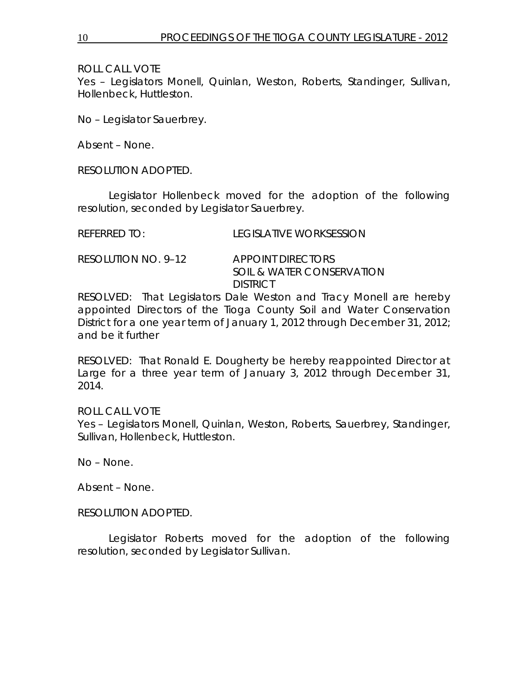ROLL CALL VOTE

Yes – Legislators Monell, Quinlan, Weston, Roberts, Standinger, Sullivan, Hollenbeck, Huttleston.

No – Legislator Sauerbrey.

Absent – None.

RESOLUTION ADOPTED.

Legislator Hollenbeck moved for the adoption of the following resolution, seconded by Legislator Sauerbrey.

| <b>REFERRED TO:</b> | <b>LEGISLATIVE WORKSESSION</b> |
|---------------------|--------------------------------|
|                     |                                |

RESOLUTION NO. 9–12 *APPOINT DIRECTORS SOIL & WATER CONSERVATION DISTRICT*

RESOLVED: That Legislators Dale Weston and Tracy Monell are hereby appointed Directors of the Tioga County Soil and Water Conservation District for a one year term of January 1, 2012 through December 31, 2012; and be it further

RESOLVED: That Ronald E. Dougherty be hereby reappointed Director at Large for a three year term of January 3, 2012 through December 31, 2014.

ROLL CALL VOTE Yes – Legislators Monell, Quinlan, Weston, Roberts, Sauerbrey, Standinger, Sullivan, Hollenbeck, Huttleston.

No – None.

Absent – None.

RESOLUTION ADOPTED.

Legislator Roberts moved for the adoption of the following resolution, seconded by Legislator Sullivan.